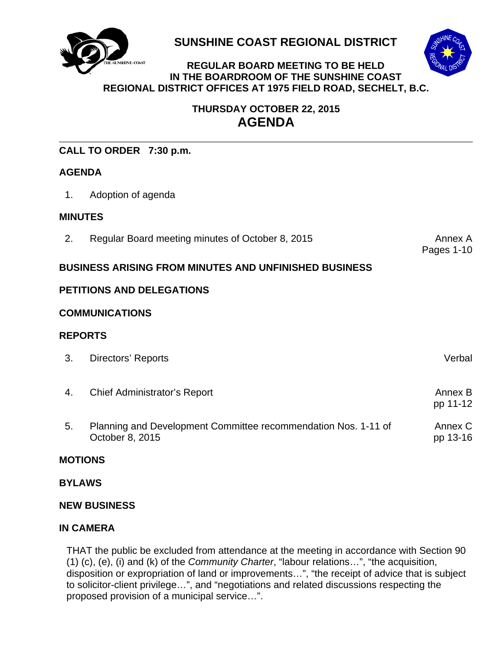

**SUNSHINE COAST REGIONAL DISTRICT** 



#### **INE-COAST REGULAR BOARD MEETING TO BE HELD IN THE BOARDROOM OF THE SUNSHINE COAST REGIONAL DISTRICT OFFICES AT 1975 FIELD ROAD, SECHELT, B.C.**

# **THURSDAY OCTOBER 22, 2015 AGENDA**

| CALL TO ORDER 7:30 p.m.                                      |                                                  |                       |
|--------------------------------------------------------------|--------------------------------------------------|-----------------------|
| <b>AGENDA</b>                                                |                                                  |                       |
| 1.                                                           | Adoption of agenda                               |                       |
| <b>MINUTES</b>                                               |                                                  |                       |
| 2.                                                           | Regular Board meeting minutes of October 8, 2015 | Annex A<br>Pages 1-10 |
| <b>BUSINESS ARISING FROM MINUTES AND UNFINISHED BUSINESS</b> |                                                  |                       |
| <b>PETITIONS AND DELEGATIONS</b>                             |                                                  |                       |
| <b>COMMUNICATIONS</b>                                        |                                                  |                       |
| <b>REPORTS</b>                                               |                                                  |                       |
| 3.                                                           | Directors' Reports                               | Verbal                |

- 4. Chief Administrator's Report **Annex B** Annex B pp 11-12
- [5. Planning and Development Committee recommendation Nos. 1-11 of](#page-14-0)  October 8, 2015 Annex C pp 13-16

# **MOTIONS**

# **BYLAWS**

# **NEW BUSINESS**

# **IN CAMERA**

THAT the public be excluded from attendance at the meeting in accordance with Section 90 (1) (c), (e), (i) and (k) of the *Community Charter*, "labour relations…", "the acquisition, disposition or expropriation of land or improvements...", "the receipt of advice that is subject to solicitor-client privilege…", and "negotiations and related discussions respecting the proposed provision of a municipal service…".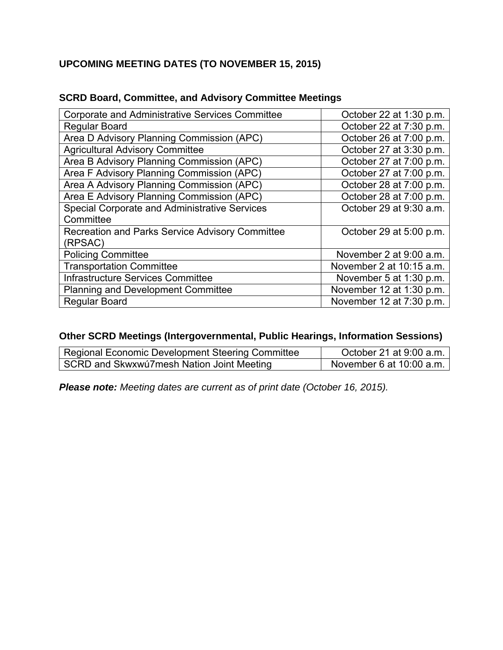# **UPCOMING MEETING DATES (TO NOVEMBER 15, 2015)**

| <b>Corporate and Administrative Services Committee</b> | October 22 at 1:30 p.m.  |
|--------------------------------------------------------|--------------------------|
| <b>Regular Board</b>                                   | October 22 at 7:30 p.m.  |
| Area D Advisory Planning Commission (APC)              | October 26 at 7:00 p.m.  |
| <b>Agricultural Advisory Committee</b>                 | October 27 at 3:30 p.m.  |
| Area B Advisory Planning Commission (APC)              | October 27 at 7:00 p.m.  |
| Area F Advisory Planning Commission (APC)              | October 27 at 7:00 p.m.  |
| Area A Advisory Planning Commission (APC)              | October 28 at 7:00 p.m.  |
| Area E Advisory Planning Commission (APC)              | October 28 at 7:00 p.m.  |
| Special Corporate and Administrative Services          | October 29 at 9:30 a.m.  |
| Committee                                              |                          |
| Recreation and Parks Service Advisory Committee        | October 29 at 5:00 p.m.  |
| (RPSAC)                                                |                          |
| <b>Policing Committee</b>                              | November 2 at 9:00 a.m.  |
| <b>Transportation Committee</b>                        | November 2 at 10:15 a.m. |
| Infrastructure Services Committee                      | November 5 at 1:30 p.m.  |
| <b>Planning and Development Committee</b>              | November 12 at 1:30 p.m. |
| <b>Regular Board</b>                                   | November 12 at 7:30 p.m. |

# **SCRD Board, Committee, and Advisory Committee Meetings**

# **Other SCRD Meetings (Intergovernmental, Public Hearings, Information Sessions)**

| <b>Regional Economic Development Steering Committee</b> | October 21 at 9:00 a.m.  |
|---------------------------------------------------------|--------------------------|
| SCRD and Skwxwú7mesh Nation Joint Meeting               | November 6 at 10:00 a.m. |

*Please note: Meeting dates are current as of print date (October 16, 2015).*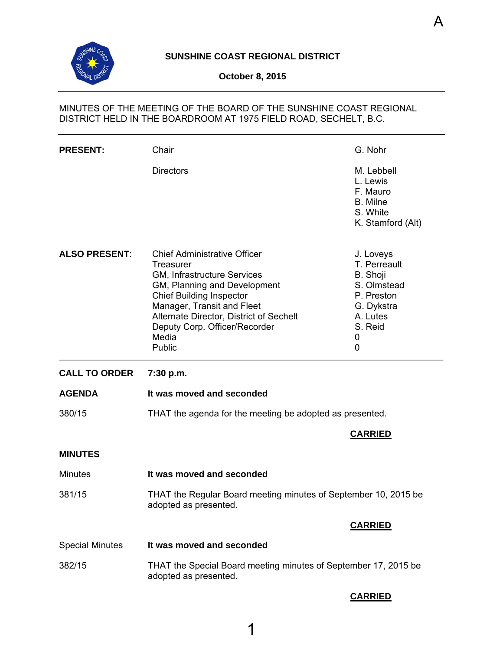<span id="page-2-0"></span>

# **SUNSHINE COAST REGIONAL DISTRICT**

## **October 8, 2015**

# MINUTES OF THE MEETING OF THE BOARD OF THE SUNSHINE COAST REGIONAL DISTRICT HELD IN THE BOARDROOM AT 1975 FIELD ROAD, SECHELT, B.C.

| <b>PRESENT:</b>        | Chair                                                                                                                                                                                                                                                                                  | G. Nohr                                                                                                           |
|------------------------|----------------------------------------------------------------------------------------------------------------------------------------------------------------------------------------------------------------------------------------------------------------------------------------|-------------------------------------------------------------------------------------------------------------------|
|                        | <b>Directors</b>                                                                                                                                                                                                                                                                       | M. Lebbell<br>L. Lewis<br>F. Mauro<br>B. Milne<br>S. White<br>K. Stamford (Alt)                                   |
| <b>ALSO PRESENT:</b>   | <b>Chief Administrative Officer</b><br><b>Treasurer</b><br>GM, Infrastructure Services<br>GM, Planning and Development<br><b>Chief Building Inspector</b><br>Manager, Transit and Fleet<br>Alternate Director, District of Sechelt<br>Deputy Corp. Officer/Recorder<br>Media<br>Public | J. Loveys<br>T. Perreault<br>B. Shoji<br>S. Olmstead<br>P. Preston<br>G. Dykstra<br>A. Lutes<br>S. Reid<br>0<br>0 |
|                        |                                                                                                                                                                                                                                                                                        |                                                                                                                   |
| <b>CALL TO ORDER</b>   | 7:30 p.m.                                                                                                                                                                                                                                                                              |                                                                                                                   |
| <b>AGENDA</b>          | It was moved and seconded                                                                                                                                                                                                                                                              |                                                                                                                   |
| 380/15                 | THAT the agenda for the meeting be adopted as presented.                                                                                                                                                                                                                               |                                                                                                                   |
|                        |                                                                                                                                                                                                                                                                                        | <b>CARRIED</b>                                                                                                    |
| <b>MINUTES</b>         |                                                                                                                                                                                                                                                                                        |                                                                                                                   |
| <b>Minutes</b>         | It was moved and seconded                                                                                                                                                                                                                                                              |                                                                                                                   |
| 381/15                 | THAT the Regular Board meeting minutes of September 10, 2015 be<br>adopted as presented.                                                                                                                                                                                               |                                                                                                                   |
|                        |                                                                                                                                                                                                                                                                                        | <b>CARRIED</b>                                                                                                    |
| <b>Special Minutes</b> | It was moved and seconded                                                                                                                                                                                                                                                              |                                                                                                                   |

# **CARRIED**

A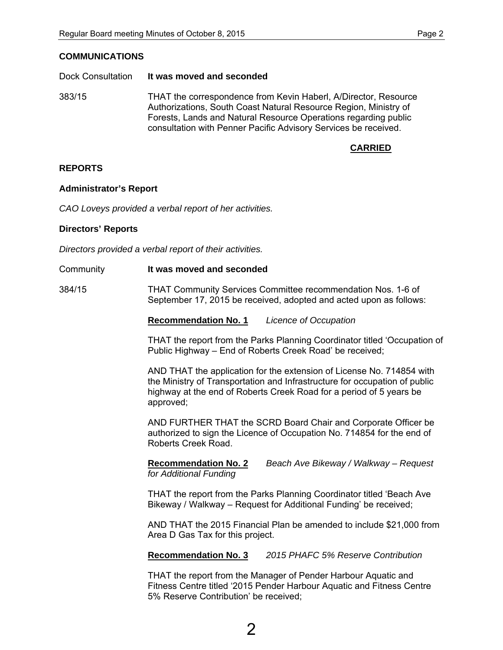### **COMMUNICATIONS**

#### Dock Consultation **It was moved and seconded**

383/15 THAT the correspondence from Kevin Haberl, A/Director, Resource Authorizations, South Coast Natural Resource Region, Ministry of Forests, Lands and Natural Resource Operations regarding public consultation with Penner Pacific Advisory Services be received.

# **CARRIED**

### **REPORTS**

#### **Administrator's Report**

*CAO Loveys provided a verbal report of her activities.* 

### **Directors' Reports**

*Directors provided a verbal report of their activities.* 

Community **It was moved and seconded** 

384/15 THAT Community Services Committee recommendation Nos. 1-6 of September 17, 2015 be received, adopted and acted upon as follows:

**Recommendation No. 1** *Licence of Occupation* 

THAT the report from the Parks Planning Coordinator titled 'Occupation of Public Highway – End of Roberts Creek Road' be received;

AND THAT the application for the extension of License No. 714854 with the Ministry of Transportation and Infrastructure for occupation of public highway at the end of Roberts Creek Road for a period of 5 years be approved;

AND FURTHER THAT the SCRD Board Chair and Corporate Officer be authorized to sign the Licence of Occupation No. 714854 for the end of Roberts Creek Road.

**Recommendation No. 2** *Beach Ave Bikeway / Walkway – Request for Additional Funding* 

 THAT the report from the Parks Planning Coordinator titled 'Beach Ave Bikeway / Walkway – Request for Additional Funding' be received;

AND THAT the 2015 Financial Plan be amended to include \$21,000 from Area D Gas Tax for this project.

**Recommendation No. 3** *2015 PHAFC 5% Reserve Contribution* 

THAT the report from the Manager of Pender Harbour Aquatic and Fitness Centre titled '2015 Pender Harbour Aquatic and Fitness Centre 5% Reserve Contribution' be received;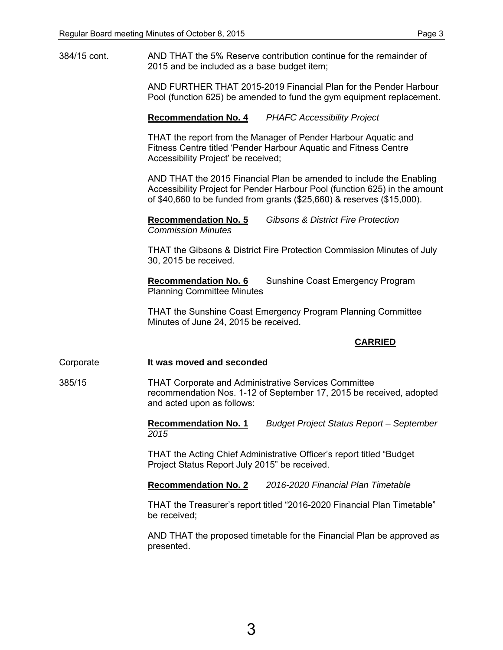384/15 cont. AND THAT the 5% Reserve contribution continue for the remainder of 2015 and be included as a base budget item;

> AND FURTHER THAT 2015-2019 Financial Plan for the Pender Harbour Pool (function 625) be amended to fund the gym equipment replacement.

### **Recommendation No. 4** *PHAFC Accessibility Project*

THAT the report from the Manager of Pender Harbour Aquatic and Fitness Centre titled 'Pender Harbour Aquatic and Fitness Centre Accessibility Project' be received;

AND THAT the 2015 Financial Plan be amended to include the Enabling Accessibility Project for Pender Harbour Pool (function 625) in the amount of \$40,660 to be funded from grants (\$25,660) & reserves (\$15,000).

**Recommendation No. 5** *Gibsons & District Fire Protection Commission Minutes* 

THAT the Gibsons & District Fire Protection Commission Minutes of July 30, 2015 be received.

**Recommendation No. 6** Sunshine Coast Emergency Program Planning Committee Minutes

THAT the Sunshine Coast Emergency Program Planning Committee Minutes of June 24, 2015 be received.

## **CARRIED**

#### Corporate **It was moved and seconded**

385/15 THAT Corporate and Administrative Services Committee recommendation Nos. 1-12 of September 17, 2015 be received, adopted and acted upon as follows:

> **Recommendation No. 1** *Budget Project Status Report – September 2015*

THAT the Acting Chief Administrative Officer's report titled "Budget Project Status Report July 2015" be received.

**Recommendation No. 2** *2016-2020 Financial Plan Timetable* 

THAT the Treasurer's report titled "2016-2020 Financial Plan Timetable" be received;

AND THAT the proposed timetable for the Financial Plan be approved as presented.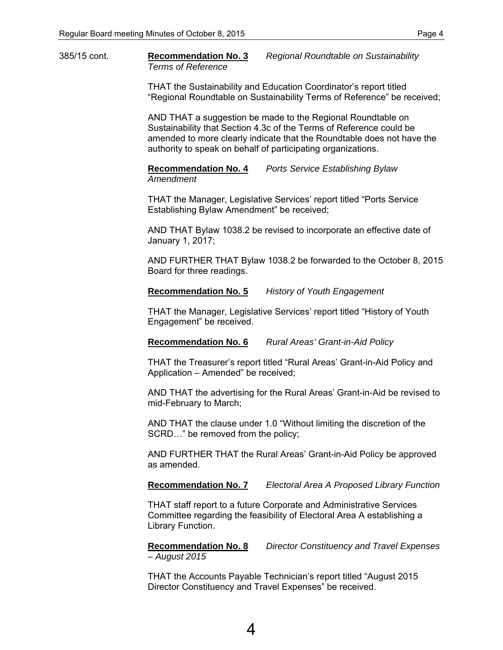385/15 cont. **Recommendation No. 3** *Regional Roundtable on Sustainability Terms of Reference* 

> THAT the Sustainability and Education Coordinator's report titled "Regional Roundtable on Sustainability Terms of Reference" be received;

AND THAT a suggestion be made to the Regional Roundtable on Sustainability that Section 4.3c of the Terms of Reference could be amended to more clearly indicate that the Roundtable does not have the authority to speak on behalf of participating organizations.

**Recommendation No. 4** *Ports Service Establishing Bylaw Amendment* 

THAT the Manager, Legislative Services' report titled "Ports Service Establishing Bylaw Amendment" be received;

AND THAT Bylaw 1038.2 be revised to incorporate an effective date of January 1, 2017;

AND FURTHER THAT Bylaw 1038.2 be forwarded to the October 8, 2015 Board for three readings.

#### **Recommendation No. 5** *History of Youth Engagement*

THAT the Manager, Legislative Services' report titled "History of Youth Engagement" be received.

**Recommendation No. 6** *Rural Areas' Grant-in-Aid Policy* 

THAT the Treasurer's report titled "Rural Areas' Grant-in-Aid Policy and Application – Amended" be received;

AND THAT the advertising for the Rural Areas' Grant-in-Aid be revised to mid-February to March;

AND THAT the clause under 1.0 "Without limiting the discretion of the SCRD…" be removed from the policy;

AND FURTHER THAT the Rural Areas' Grant-in-Aid Policy be approved as amended.

**Recommendation No. 7** *Electoral Area A Proposed Library Function* 

THAT staff report to a future Corporate and Administrative Services Committee regarding the feasibility of Electoral Area A establishing a Library Function.

**Recommendation No. 8** *Director Constituency and Travel Expenses – August 2015* 

THAT the Accounts Payable Technician's report titled "August 2015 Director Constituency and Travel Expenses" be received.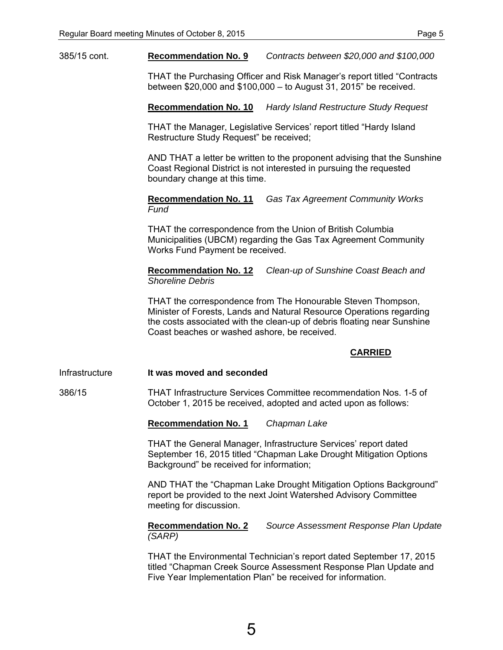385/15 cont. **Recommendation No. 9** *Contracts between \$20,000 and \$100,000* 

THAT the Purchasing Officer and Risk Manager's report titled "Contracts between \$20,000 and \$100,000 – to August 31, 2015" be received.

**Recommendation No. 10** *Hardy Island Restructure Study Request* 

THAT the Manager, Legislative Services' report titled "Hardy Island Restructure Study Request" be received;

AND THAT a letter be written to the proponent advising that the Sunshine Coast Regional District is not interested in pursuing the requested boundary change at this time.

**Recommendation No. 11** *Gas Tax Agreement Community Works Fund* 

THAT the correspondence from the Union of British Columbia Municipalities (UBCM) regarding the Gas Tax Agreement Community Works Fund Payment be received.

 **Recommendation No. 12** *Clean-up of Sunshine Coast Beach and Shoreline Debris* 

 THAT the correspondence from The Honourable Steven Thompson, Minister of Forests, Lands and Natural Resource Operations regarding the costs associated with the clean-up of debris floating near Sunshine Coast beaches or washed ashore, be received.

# **CARRIED**

Infrastructure **It was moved and seconded** 

386/15 THAT Infrastructure Services Committee recommendation Nos. 1-5 of October 1, 2015 be received, adopted and acted upon as follows:

**Recommendation No. 1** *Chapman Lake* 

THAT the General Manager, Infrastructure Services' report dated September 16, 2015 titled "Chapman Lake Drought Mitigation Options Background" be received for information;

AND THAT the "Chapman Lake Drought Mitigation Options Background" report be provided to the next Joint Watershed Advisory Committee meeting for discussion.

**Recommendation No. 2** *Source Assessment Response Plan Update (SARP)* 

 THAT the Environmental Technician's report dated September 17, 2015 titled "Chapman Creek Source Assessment Response Plan Update and Five Year Implementation Plan" be received for information.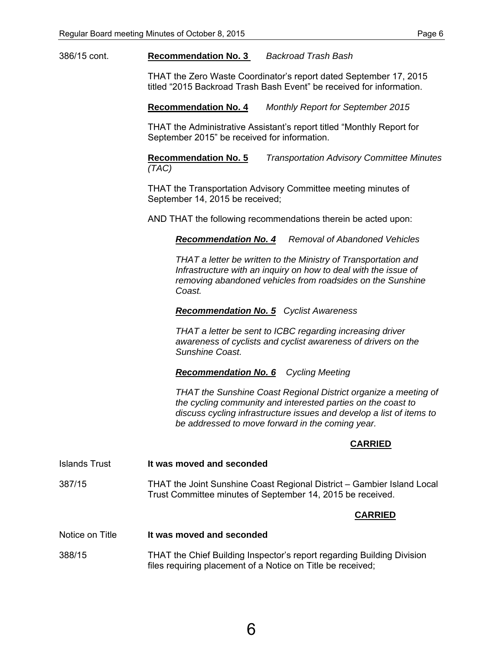386/15 cont. **Recommendation No. 3** *Backroad Trash Bash* 

THAT the Zero Waste Coordinator's report dated September 17, 2015 titled "2015 Backroad Trash Bash Event" be received for information.

**Recommendation No. 4** *Monthly Report for September 2015* 

THAT the Administrative Assistant's report titled "Monthly Report for September 2015" be received for information.

**Recommendation No. 5** *Transportation Advisory Committee Minutes (TAC)* 

 THAT the Transportation Advisory Committee meeting minutes of September 14, 2015 be received;

AND THAT the following recommendations therein be acted upon:

*Recommendation No. 4 Removal of Abandoned Vehicles* 

 *THAT a letter be written to the Ministry of Transportation and Infrastructure with an inquiry on how to deal with the issue of removing abandoned vehicles from roadsides on the Sunshine Coast.* 

 *Recommendation No. 5 Cyclist Awareness* 

 *THAT a letter be sent to ICBC regarding increasing driver awareness of cyclists and cyclist awareness of drivers on the Sunshine Coast.* 

 *Recommendation No. 6 Cycling Meeting* 

 *THAT the Sunshine Coast Regional District organize a meeting of the cycling community and interested parties on the coast to discuss cycling infrastructure issues and develop a list of items to be addressed to move forward in the coming year.* 

## **CARRIED**

Islands Trust **It was moved and seconded** 

387/15 THAT the Joint Sunshine Coast Regional District – Gambier Island Local Trust Committee minutes of September 14, 2015 be received.

#### **CARRIED**

- Notice on Title **It was moved and seconded**
- 388/15 THAT the Chief Building Inspector's report regarding Building Division files requiring placement of a Notice on Title be received;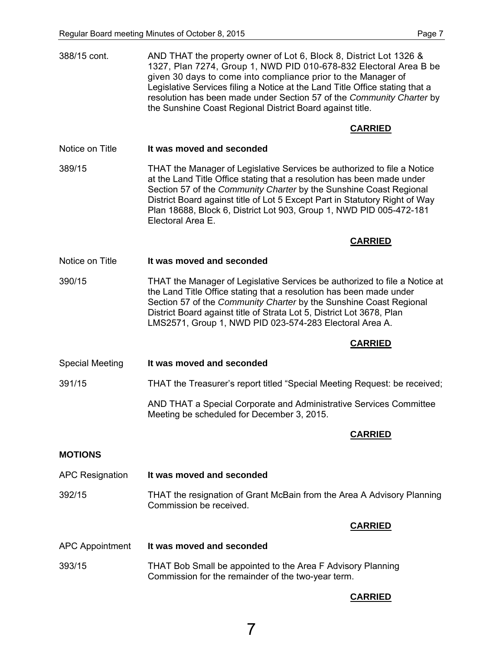| 388/15 cont.           | AND THAT the property owner of Lot 6, Block 8, District Lot 1326 &<br>1327, Plan 7274, Group 1, NWD PID 010-678-832 Electoral Area B be<br>given 30 days to come into compliance prior to the Manager of<br>Legislative Services filing a Notice at the Land Title Office stating that a<br>resolution has been made under Section 57 of the Community Charter by<br>the Sunshine Coast Regional District Board against title. |  |
|------------------------|--------------------------------------------------------------------------------------------------------------------------------------------------------------------------------------------------------------------------------------------------------------------------------------------------------------------------------------------------------------------------------------------------------------------------------|--|
|                        | <b>CARRIED</b>                                                                                                                                                                                                                                                                                                                                                                                                                 |  |
| Notice on Title        | It was moved and seconded                                                                                                                                                                                                                                                                                                                                                                                                      |  |
| 389/15                 | THAT the Manager of Legislative Services be authorized to file a Notice<br>at the Land Title Office stating that a resolution has been made under<br>Section 57 of the Community Charter by the Sunshine Coast Regional<br>District Board against title of Lot 5 Except Part in Statutory Right of Way<br>Plan 18688, Block 6, District Lot 903, Group 1, NWD PID 005-472-181<br>Electoral Area E.                             |  |
|                        | <b>CARRIED</b>                                                                                                                                                                                                                                                                                                                                                                                                                 |  |
| Notice on Title        | It was moved and seconded                                                                                                                                                                                                                                                                                                                                                                                                      |  |
| 390/15                 | THAT the Manager of Legislative Services be authorized to file a Notice at<br>the Land Title Office stating that a resolution has been made under<br>Section 57 of the Community Charter by the Sunshine Coast Regional<br>District Board against title of Strata Lot 5, District Lot 3678, Plan<br>LMS2571, Group 1, NWD PID 023-574-283 Electoral Area A.                                                                    |  |
|                        | <b>CARRIED</b>                                                                                                                                                                                                                                                                                                                                                                                                                 |  |
| <b>Special Meeting</b> | It was moved and seconded                                                                                                                                                                                                                                                                                                                                                                                                      |  |
| 391/15                 | THAT the Treasurer's report titled "Special Meeting Request: be received;                                                                                                                                                                                                                                                                                                                                                      |  |
|                        | AND THAT a Special Corporate and Administrative Services Committee<br>Meeting be scheduled for December 3, 2015.                                                                                                                                                                                                                                                                                                               |  |
|                        | <b>CARRIED</b>                                                                                                                                                                                                                                                                                                                                                                                                                 |  |
| <b>MOTIONS</b>         |                                                                                                                                                                                                                                                                                                                                                                                                                                |  |
| <b>APC Resignation</b> | It was moved and seconded                                                                                                                                                                                                                                                                                                                                                                                                      |  |
| 392/15                 | THAT the resignation of Grant McBain from the Area A Advisory Planning<br>Commission be received.                                                                                                                                                                                                                                                                                                                              |  |
|                        | <b>CARRIED</b>                                                                                                                                                                                                                                                                                                                                                                                                                 |  |
| <b>APC Appointment</b> | It was moved and seconded                                                                                                                                                                                                                                                                                                                                                                                                      |  |
| 393/15                 | THAT Bob Small be appointed to the Area F Advisory Planning<br>Commission for the remainder of the two-year term.                                                                                                                                                                                                                                                                                                              |  |

# **CARRIED**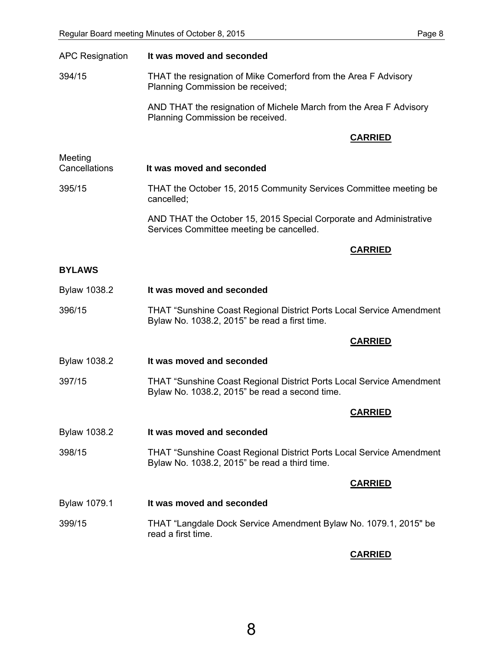| <b>APC Resignation</b>   | It was moved and seconded                                                                                                     |  |
|--------------------------|-------------------------------------------------------------------------------------------------------------------------------|--|
| 394/15                   | THAT the resignation of Mike Comerford from the Area F Advisory<br>Planning Commission be received;                           |  |
|                          | AND THAT the resignation of Michele March from the Area F Advisory<br>Planning Commission be received.                        |  |
|                          | <b>CARRIED</b>                                                                                                                |  |
| Meeting<br>Cancellations | It was moved and seconded                                                                                                     |  |
| 395/15                   | THAT the October 15, 2015 Community Services Committee meeting be<br>cancelled;                                               |  |
|                          | AND THAT the October 15, 2015 Special Corporate and Administrative<br>Services Committee meeting be cancelled.                |  |
|                          | <b>CARRIED</b>                                                                                                                |  |
| <b>BYLAWS</b>            |                                                                                                                               |  |
| <b>Bylaw 1038.2</b>      | It was moved and seconded                                                                                                     |  |
| 396/15                   | <b>THAT "Sunshine Coast Regional District Ports Local Service Amendment</b><br>Bylaw No. 1038.2, 2015" be read a first time.  |  |
|                          | <b>CARRIED</b>                                                                                                                |  |
| Bylaw 1038.2             | It was moved and seconded                                                                                                     |  |
| 397/15                   | <b>THAT "Sunshine Coast Regional District Ports Local Service Amendment</b><br>Bylaw No. 1038.2, 2015" be read a second time. |  |
|                          | <b>CARRIED</b>                                                                                                                |  |
| Bylaw 1038.2             | It was moved and seconded                                                                                                     |  |
| 398/15                   | <b>THAT "Sunshine Coast Regional District Ports Local Service Amendment</b><br>Bylaw No. 1038.2, 2015" be read a third time.  |  |
|                          | <b>CARRIED</b>                                                                                                                |  |
| <b>Bylaw 1079.1</b>      | It was moved and seconded                                                                                                     |  |
| 399/15                   | THAT "Langdale Dock Service Amendment Bylaw No. 1079.1, 2015" be<br>read a first time.                                        |  |
|                          | <b>CARRIED</b>                                                                                                                |  |

8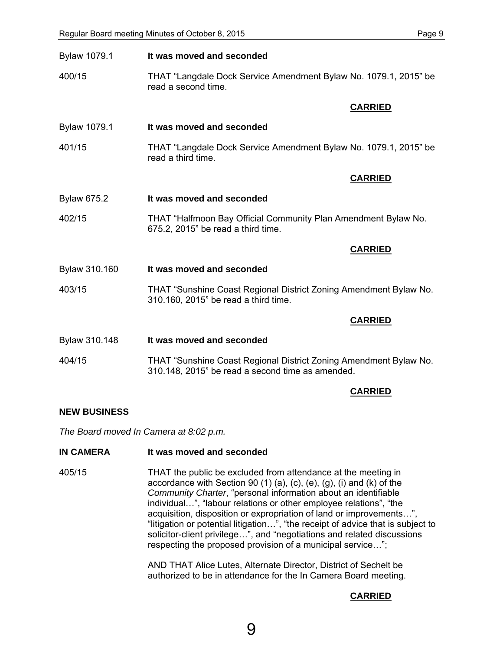| Bylaw 1079.1        | It was moved and seconded                                                                                             |  |
|---------------------|-----------------------------------------------------------------------------------------------------------------------|--|
| 400/15              | THAT "Langdale Dock Service Amendment Bylaw No. 1079.1, 2015" be<br>read a second time.                               |  |
|                     | <b>CARRIED</b>                                                                                                        |  |
| <b>Bylaw 1079.1</b> | It was moved and seconded                                                                                             |  |
| 401/15              | THAT "Langdale Dock Service Amendment Bylaw No. 1079.1, 2015" be<br>read a third time.                                |  |
|                     | <b>CARRIED</b>                                                                                                        |  |
| <b>Bylaw 675.2</b>  | It was moved and seconded                                                                                             |  |
| 402/15              | THAT "Halfmoon Bay Official Community Plan Amendment Bylaw No.<br>675.2, 2015" be read a third time.                  |  |
|                     | <b>CARRIED</b>                                                                                                        |  |
| Bylaw 310.160       | It was moved and seconded                                                                                             |  |
| 403/15              | THAT "Sunshine Coast Regional District Zoning Amendment Bylaw No.<br>310.160, 2015" be read a third time.             |  |
|                     | <b>CARRIED</b>                                                                                                        |  |
| Bylaw 310.148       | It was moved and seconded                                                                                             |  |
| 404/15              | THAT "Sunshine Coast Regional District Zoning Amendment Bylaw No.<br>310.148, 2015" be read a second time as amended. |  |
|                     |                                                                                                                       |  |

#### **CARRIED**

#### **NEW BUSINESS**

*The Board moved In Camera at 8:02 p.m.* 

### **IN CAMERA** It was moved and seconded

405/15 THAT the public be excluded from attendance at the meeting in accordance with Section 90 (1) (a), (c), (e), (g), (i) and (k) of the *Community Charter*, "personal information about an identifiable individual…", "labour relations or other employee relations", "the acquisition, disposition or expropriation of land or improvements…", "litigation or potential litigation…", "the receipt of advice that is subject to solicitor-client privilege…", and "negotiations and related discussions respecting the proposed provision of a municipal service…";

> AND THAT Alice Lutes, Alternate Director, District of Sechelt be authorized to be in attendance for the In Camera Board meeting.

## **CARRIED**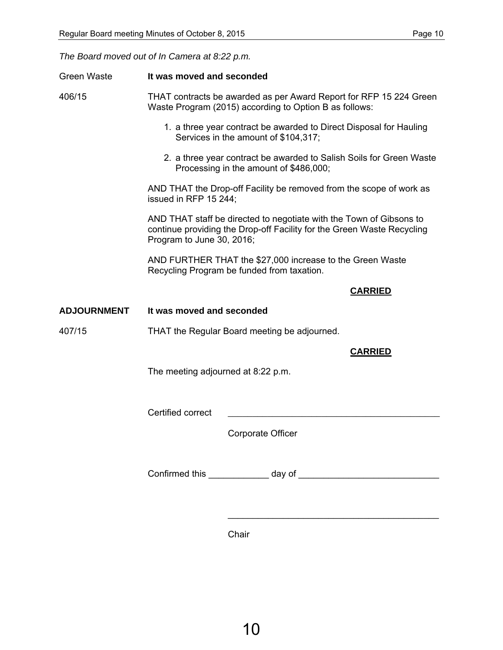*The Board moved out of In Camera at 8:22 p.m.* 

| <b>Green Waste</b> | It was moved and seconded                                                                                                                                                  |  |  |
|--------------------|----------------------------------------------------------------------------------------------------------------------------------------------------------------------------|--|--|
| 406/15             | THAT contracts be awarded as per Award Report for RFP 15 224 Green<br>Waste Program (2015) according to Option B as follows:                                               |  |  |
|                    | 1. a three year contract be awarded to Direct Disposal for Hauling<br>Services in the amount of \$104,317;                                                                 |  |  |
|                    | 2. a three year contract be awarded to Salish Soils for Green Waste<br>Processing in the amount of \$486,000;                                                              |  |  |
|                    | AND THAT the Drop-off Facility be removed from the scope of work as<br>issued in RFP 15 244;                                                                               |  |  |
|                    | AND THAT staff be directed to negotiate with the Town of Gibsons to<br>continue providing the Drop-off Facility for the Green Waste Recycling<br>Program to June 30, 2016; |  |  |
|                    | AND FURTHER THAT the \$27,000 increase to the Green Waste<br>Recycling Program be funded from taxation.                                                                    |  |  |
|                    | <b>CARRIED</b>                                                                                                                                                             |  |  |
| <b>ADJOURNMENT</b> | It was moved and seconded                                                                                                                                                  |  |  |
| 407/15             | THAT the Regular Board meeting be adjourned.                                                                                                                               |  |  |
| <b>CARRIED</b>     |                                                                                                                                                                            |  |  |
|                    | The meeting adjourned at 8:22 p.m.                                                                                                                                         |  |  |
|                    | Certified correct                                                                                                                                                          |  |  |
|                    | Corporate Officer                                                                                                                                                          |  |  |
|                    |                                                                                                                                                                            |  |  |
|                    |                                                                                                                                                                            |  |  |
|                    |                                                                                                                                                                            |  |  |

Chair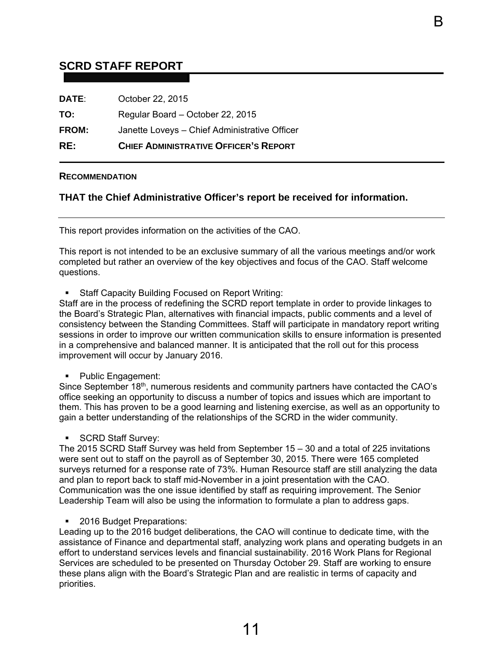# <span id="page-12-0"></span>**SCRD STAFF REPORT**

| RE:          | <b>CHIEF ADMINISTRATIVE OFFICER'S REPORT</b>  |
|--------------|-----------------------------------------------|
| <b>FROM:</b> | Janette Loveys - Chief Administrative Officer |
| TO:          | Regular Board - October 22, 2015              |
| <b>DATE:</b> | October 22, 2015                              |

#### **RECOMMENDATION**

## **THAT the Chief Administrative Officer's report be received for information.**

This report provides information on the activities of the CAO.

This report is not intended to be an exclusive summary of all the various meetings and/or work completed but rather an overview of the key objectives and focus of the CAO. Staff welcome questions.

B

Staff Capacity Building Focused on Report Writing:

Staff are in the process of redefining the SCRD report template in order to provide linkages to the Board's Strategic Plan, alternatives with financial impacts, public comments and a level of consistency between the Standing Committees. Staff will participate in mandatory report writing sessions in order to improve our written communication skills to ensure information is presented in a comprehensive and balanced manner. It is anticipated that the roll out for this process improvement will occur by January 2016.

Public Engagement:

Since September 18<sup>th</sup>, numerous residents and community partners have contacted the CAO's office seeking an opportunity to discuss a number of topics and issues which are important to them. This has proven to be a good learning and listening exercise, as well as an opportunity to gain a better understanding of the relationships of the SCRD in the wider community.

SCRD Staff Survey:

The 2015 SCRD Staff Survey was held from September 15 – 30 and a total of 225 invitations were sent out to staff on the payroll as of September 30, 2015. There were 165 completed surveys returned for a response rate of 73%. Human Resource staff are still analyzing the data and plan to report back to staff mid-November in a joint presentation with the CAO. Communication was the one issue identified by staff as requiring improvement. The Senior Leadership Team will also be using the information to formulate a plan to address gaps.

■ 2016 Budget Preparations:

Leading up to the 2016 budget deliberations, the CAO will continue to dedicate time, with the assistance of Finance and departmental staff, analyzing work plans and operating budgets in an effort to understand services levels and financial sustainability. 2016 Work Plans for Regional Services are scheduled to be presented on Thursday October 29. Staff are working to ensure these plans align with the Board's Strategic Plan and are realistic in terms of capacity and priorities.

11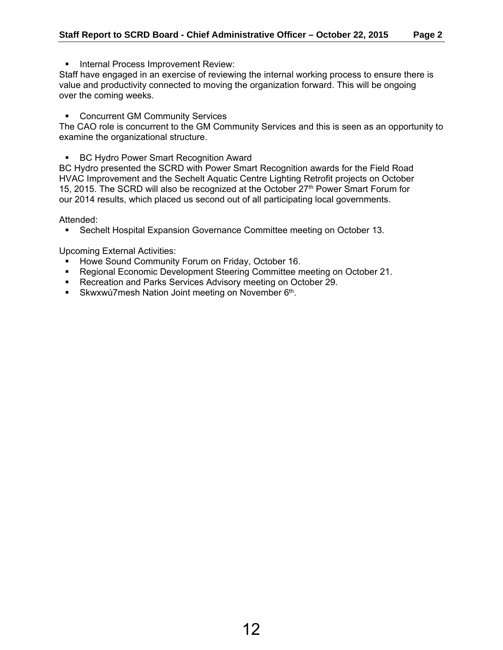**Internal Process Improvement Review:** 

Staff have engaged in an exercise of reviewing the internal working process to ensure there is value and productivity connected to moving the organization forward. This will be ongoing over the coming weeks.

**EXECONCOM COMMUNITY Services** 

The CAO role is concurrent to the GM Community Services and this is seen as an opportunity to examine the organizational structure.

**BC Hydro Power Smart Recognition Award** 

BC Hydro presented the SCRD with Power Smart Recognition awards for the Field Road HVAC Improvement and the Sechelt Aquatic Centre Lighting Retrofit projects on October 15, 2015. The SCRD will also be recognized at the October 27<sup>th</sup> Power Smart Forum for our 2014 results, which placed us second out of all participating local governments.

Attended:

Sechelt Hospital Expansion Governance Committee meeting on October 13.

Upcoming External Activities:

- **Howe Sound Community Forum on Friday, October 16.**
- Regional Economic Development Steering Committee meeting on October 21.
- **Recreation and Parks Services Advisory meeting on October 29.**
- Skwxwú7mesh Nation Joint meeting on November 6<sup>th</sup>.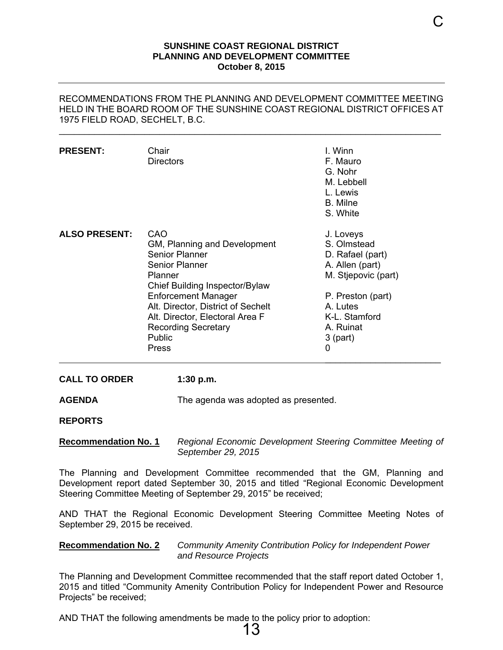#### **SUNSHINE COAST REGIONAL DISTRICT PLANNING AND DEVELOPMENT COMMITTEE October 8, 2015**

### <span id="page-14-0"></span>RECOMMENDATIONS FROM THE PLANNING AND DEVELOPMENT COMMITTEE MEETING HELD IN THE BOARD ROOM OF THE SUNSHINE COAST REGIONAL DISTRICT OFFICES AT 1975 FIELD ROAD, SECHELT, B.C.

\_\_\_\_\_\_\_\_\_\_\_\_\_\_\_\_\_\_\_\_\_\_\_\_\_\_\_\_\_\_\_\_\_\_\_\_\_\_\_\_\_\_\_\_\_\_\_\_\_\_\_\_\_\_\_\_\_\_\_\_\_\_\_\_\_\_\_\_\_\_\_\_\_\_\_\_

| <b>PRESENT:</b>      | Chair<br><b>Directors</b>                                                                                                                                                                                                                                                                  | I. Winn<br>F. Mauro<br>G. Nohr<br>M. Lebbell<br>L. Lewis<br>B. Milne<br>S. White                                                                                         |
|----------------------|--------------------------------------------------------------------------------------------------------------------------------------------------------------------------------------------------------------------------------------------------------------------------------------------|--------------------------------------------------------------------------------------------------------------------------------------------------------------------------|
| <b>ALSO PRESENT:</b> | CAO<br>GM, Planning and Development<br>Senior Planner<br>Senior Planner<br>Planner<br>Chief Building Inspector/Bylaw<br><b>Enforcement Manager</b><br>Alt. Director, District of Sechelt<br>Alt. Director, Electoral Area F<br><b>Recording Secretary</b><br><b>Public</b><br><b>Press</b> | J. Loveys<br>S. Olmstead<br>D. Rafael (part)<br>A. Allen (part)<br>M. Stjepovic (part)<br>P. Preston (part)<br>A. Lutes<br>K-L. Stamford<br>A. Ruinat<br>$3$ (part)<br>0 |

#### **CALL TO ORDER 1:30 p.m.**

**AGENDA** The agenda was adopted as presented.

**REPORTS** 

#### **Recommendation No. 1** *Regional Economic Development Steering Committee Meeting of September 29, 2015*

The Planning and Development Committee recommended that the GM, Planning and Development report dated September 30, 2015 and titled "Regional Economic Development Steering Committee Meeting of September 29, 2015" be received;

AND THAT the Regional Economic Development Steering Committee Meeting Notes of September 29, 2015 be received.

### **Recommendation No. 2** *Community Amenity Contribution Policy for Independent Power and Resource Projects*

The Planning and Development Committee recommended that the staff report dated October 1, 2015 and titled "Community Amenity Contribution Policy for Independent Power and Resource Projects" be received;

13

AND THAT the following amendments be made to the policy prior to adoption: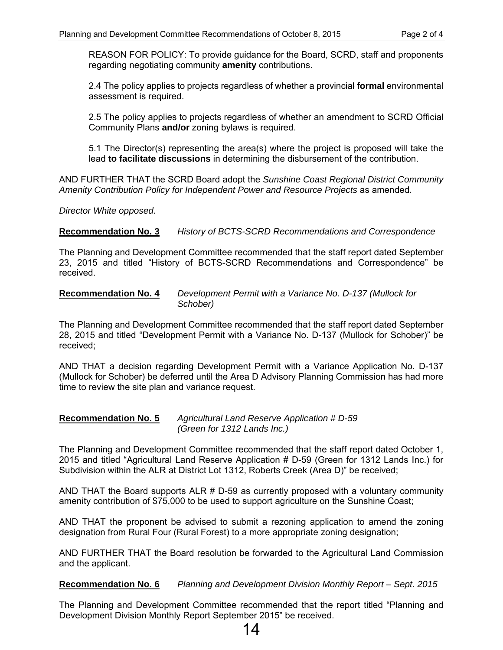REASON FOR POLICY: To provide guidance for the Board, SCRD, staff and proponents regarding negotiating community **amenity** contributions.

2.4 The policy applies to projects regardless of whether a provincial **formal** environmental assessment is required.

2.5 The policy applies to projects regardless of whether an amendment to SCRD Official Community Plans **and/or** zoning bylaws is required.

5.1 The Director(s) representing the area(s) where the project is proposed will take the lead **to facilitate discussions** in determining the disbursement of the contribution.

AND FURTHER THAT the SCRD Board adopt the *Sunshine Coast Regional District Community Amenity Contribution Policy for Independent Power and Resource Projects* as amended*.* 

*Director White opposed.* 

**Recommendation No. 3** *History of BCTS-SCRD Recommendations and Correspondence* 

The Planning and Development Committee recommended that the staff report dated September 23, 2015 and titled "History of BCTS-SCRD Recommendations and Correspondence" be received.

### **Recommendation No. 4** *Development Permit with a Variance No. D-137 (Mullock for Schober)*

The Planning and Development Committee recommended that the staff report dated September 28, 2015 and titled "Development Permit with a Variance No. D-137 (Mullock for Schober)" be received;

AND THAT a decision regarding Development Permit with a Variance Application No. D-137 (Mullock for Schober) be deferred until the Area D Advisory Planning Commission has had more time to review the site plan and variance request.

#### **Recommendation No. 5** *Agricultural Land Reserve Application # D-59 (Green for 1312 Lands Inc.)*

The Planning and Development Committee recommended that the staff report dated October 1, 2015 and titled "Agricultural Land Reserve Application # D-59 (Green for 1312 Lands Inc.) for Subdivision within the ALR at District Lot 1312, Roberts Creek (Area D)" be received;

AND THAT the Board supports ALR  $#$  D-59 as currently proposed with a voluntary community amenity contribution of \$75,000 to be used to support agriculture on the Sunshine Coast;

AND THAT the proponent be advised to submit a rezoning application to amend the zoning designation from Rural Four (Rural Forest) to a more appropriate zoning designation;

AND FURTHER THAT the Board resolution be forwarded to the Agricultural Land Commission and the applicant.

**Recommendation No. 6** *Planning and Development Division Monthly Report – Sept. 2015* 

The Planning and Development Committee recommended that the report titled "Planning and Development Division Monthly Report September 2015" be received.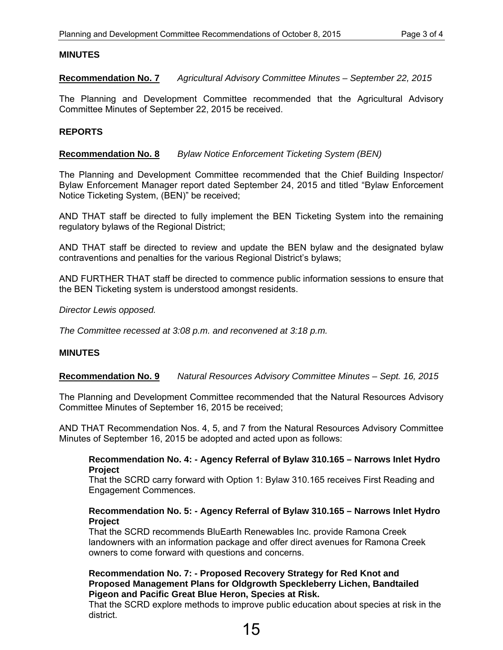## **MINUTES**

**Recommendation No. 7** *Agricultural Advisory Committee Minutes – September 22, 2015* 

The Planning and Development Committee recommended that the Agricultural Advisory Committee Minutes of September 22, 2015 be received.

## **REPORTS**

### **Recommendation No. 8** *Bylaw Notice Enforcement Ticketing System (BEN)*

The Planning and Development Committee recommended that the Chief Building Inspector/ Bylaw Enforcement Manager report dated September 24, 2015 and titled "Bylaw Enforcement Notice Ticketing System, (BEN)" be received;

AND THAT staff be directed to fully implement the BEN Ticketing System into the remaining regulatory bylaws of the Regional District;

AND THAT staff be directed to review and update the BEN bylaw and the designated bylaw contraventions and penalties for the various Regional District's bylaws;

AND FURTHER THAT staff be directed to commence public information sessions to ensure that the BEN Ticketing system is understood amongst residents.

*Director Lewis opposed.* 

*The Committee recessed at 3:08 p.m. and reconvened at 3:18 p.m.* 

## **MINUTES**

### **Recommendation No. 9** *Natural Resources Advisory Committee Minutes – Sept. 16, 2015*

The Planning and Development Committee recommended that the Natural Resources Advisory Committee Minutes of September 16, 2015 be received;

AND THAT Recommendation Nos. 4, 5, and 7 from the Natural Resources Advisory Committee Minutes of September 16, 2015 be adopted and acted upon as follows:

### **Recommendation No. 4: - Agency Referral of Bylaw 310.165 – Narrows Inlet Hydro Project**

That the SCRD carry forward with Option 1: Bylaw 310.165 receives First Reading and Engagement Commences.

### **Recommendation No. 5: - Agency Referral of Bylaw 310.165 – Narrows Inlet Hydro Project**

That the SCRD recommends BluEarth Renewables Inc. provide Ramona Creek landowners with an information package and offer direct avenues for Ramona Creek owners to come forward with questions and concerns.

#### **Recommendation No. 7: - Proposed Recovery Strategy for Red Knot and Proposed Management Plans for Oldgrowth Speckleberry Lichen, Bandtailed Pigeon and Pacific Great Blue Heron, Species at Risk.**

That the SCRD explore methods to improve public education about species at risk in the district.